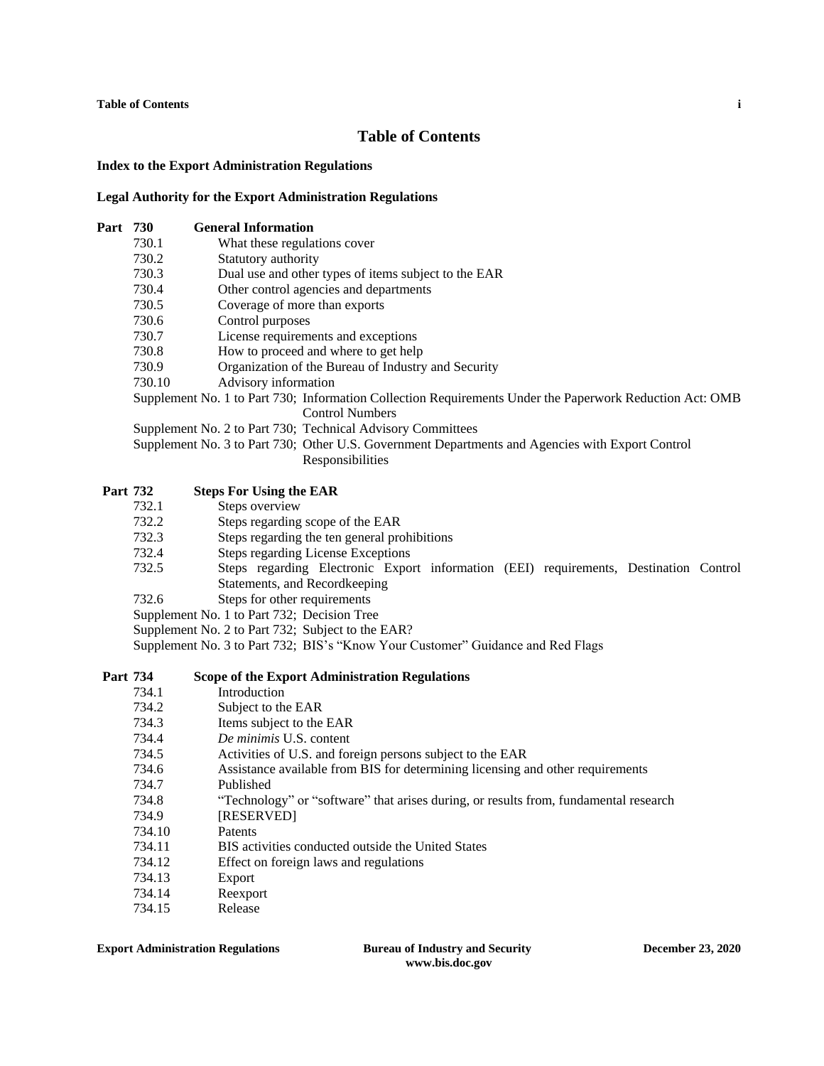**Table of Contents i**

# **Table of Contents**

#### **Index to the Export Administration Regulations**

#### **Legal Authority for the Export Administration Regulations**

# **Part 730 General Information**

- 730.1 What these regulations cover
- 730.2 Statutory authority
- 730.3 Dual use and other types of items subject to the EAR
- 730.4 Other control agencies and departments
- 730.5 Coverage of more than exports
- 730.6 Control purposes
- 730.7 License requirements and exceptions
- 730.8 How to proceed and where to get help
- 730.9 Organization of the Bureau of Industry and Security
- 730.10 Advisory information

Supplement No. 1 to Part 730; Information Collection Requirements Under the Paperwork Reduction Act: OMB Control Numbers

Supplement No. 2 to Part 730; Technical Advisory Committees

Supplement No. 3 to Part 730; Other U.S. Government Departments and Agencies with Export Control Responsibilities

## **Part 732 Steps For Using the EAR**

- 732.1 Steps overview
- 732.2 Steps regarding scope of the EAR
- 732.3 Steps regarding the ten general prohibitions
- 732.4 Steps regarding License Exceptions
- 732.5 Steps regarding Electronic Export information (EEI) requirements, Destination Control Statements, and Recordkeeping
- 732.6 Steps for other requirements
- Supplement No. 1 to Part 732; Decision Tree
- Supplement No. 2 to Part 732; Subject to the EAR?

Supplement No. 3 to Part 732; BIS's "Know Your Customer" Guidance and Red Flags

#### **Part 734 Scope of the Export Administration Regulations**

- 734.1 Introduction
- 734.2 Subject to the EAR
- 734.3 Items subject to the EAR
- 734.4 *De minimis* U.S. content
- 734.5 Activities of U.S. and foreign persons subject to the EAR
- 734.6 Assistance available from BIS for determining licensing and other requirements
- 734.7 Published
- 734.8 "Technology" or "software" that arises during, or results from, fundamental research
- 734.9 [RESERVED]
- 734.10 Patents
- 734.11 BIS activities conducted outside the United States
- 734.12 Effect on foreign laws and regulations
- 734.13 Export
- 734.14 Reexport
- 734.15 Release

## **Export Administration Regulations Bureau of Industry and Security December 23, 2020**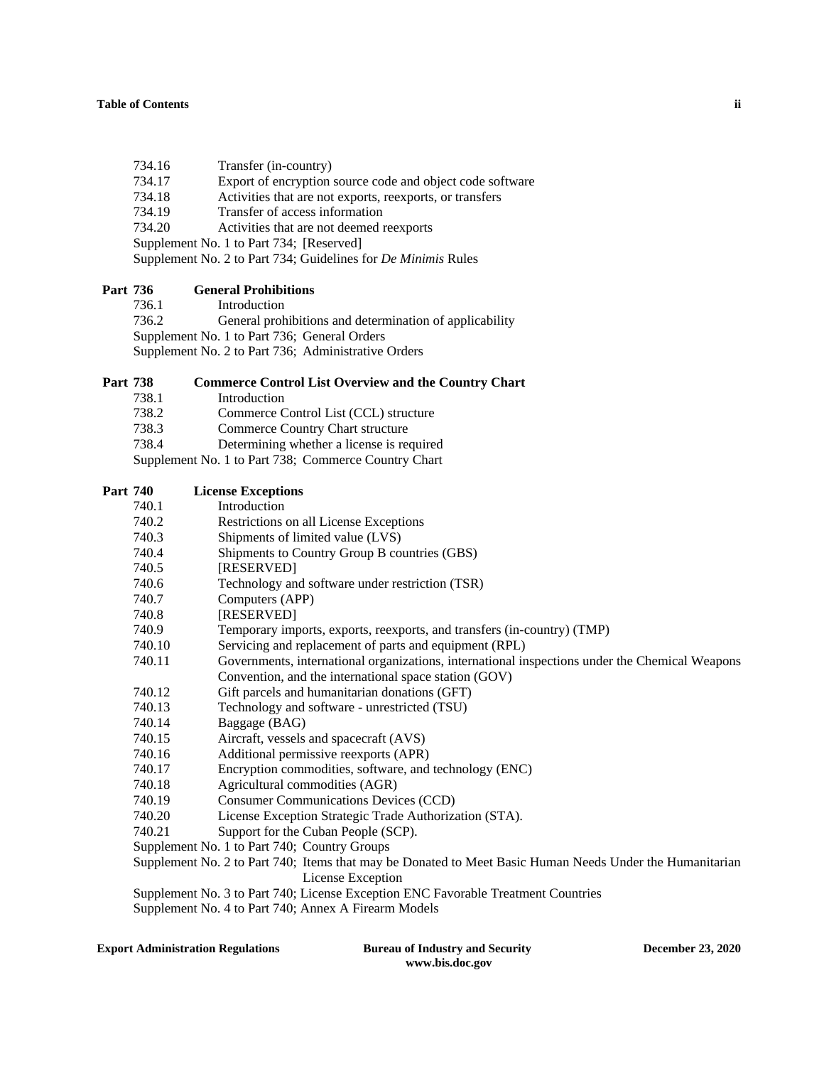## **Table of Contents ii**

- 734.16 Transfer (in-country)
- 734.17 Export of encryption source code and object code software
- 734.18 Activities that are not exports, reexports, or transfers
- 734.19 Transfer of access information
- 734.20 Activities that are not deemed reexports
- Supplement No. 1 to Part 734; [Reserved]

Supplement No. 2 to Part 734; Guidelines for *De Minimis* Rules

# **Part 736 General Prohibitions**

736.1 Introduction 736.2 General prohibitions and determination of applicability

Supplement No. 1 to Part 736; General Orders

Supplement No. 2 to Part 736; Administrative Orders

## **Part 738 Commerce Control List Overview and the Country Chart**

- 738.1 Introduction
- 738.2 Commerce Control List (CCL) structure
- 738.3 Commerce Country Chart structure
- 738.4 Determining whether a license is required

Supplement No. 1 to Part 738; Commerce Country Chart

| Part 740 | <b>License Exceptions</b>                                                                                |
|----------|----------------------------------------------------------------------------------------------------------|
| 740.1    | Introduction                                                                                             |
| 740.2    | Restrictions on all License Exceptions                                                                   |
| 740.3    | Shipments of limited value (LVS)                                                                         |
| 740.4    | Shipments to Country Group B countries (GBS)                                                             |
| 740.5    | [RESERVED]                                                                                               |
| 740.6    | Technology and software under restriction (TSR)                                                          |
| 740.7    | Computers (APP)                                                                                          |
| 740.8    | [RESERVED]                                                                                               |
| 740.9    | Temporary imports, exports, reexports, and transfers (in-country) (TMP)                                  |
| 740.10   | Servicing and replacement of parts and equipment (RPL)                                                   |
| 740.11   | Governments, international organizations, international inspections under the Chemical Weapons           |
|          | Convention, and the international space station (GOV)                                                    |
| 740.12   | Gift parcels and humanitarian donations (GFT)                                                            |
| 740.13   | Technology and software - unrestricted (TSU)                                                             |
| 740.14   | Baggage (BAG)                                                                                            |
| 740.15   | Aircraft, vessels and spacecraft (AVS)                                                                   |
| 740.16   | Additional permissive reexports (APR)                                                                    |
| 740.17   | Encryption commodities, software, and technology (ENC)                                                   |
| 740.18   | Agricultural commodities (AGR)                                                                           |
| 740.19   | <b>Consumer Communications Devices (CCD)</b>                                                             |
| 740.20   | License Exception Strategic Trade Authorization (STA).                                                   |
| 740.21   | Support for the Cuban People (SCP).                                                                      |
|          | Supplement No. 1 to Part 740; Country Groups                                                             |
|          | Supplement No. 2 to Part 740; Items that may be Donated to Meet Basic Human Needs Under the Humanitarian |
|          | License Exception                                                                                        |

Supplement No. 3 to Part 740; License Exception ENC Favorable Treatment Countries

Supplement No. 4 to Part 740; Annex A Firearm Models

**Export Administration Regulations Bureau of Industry and Security December 23, 2020**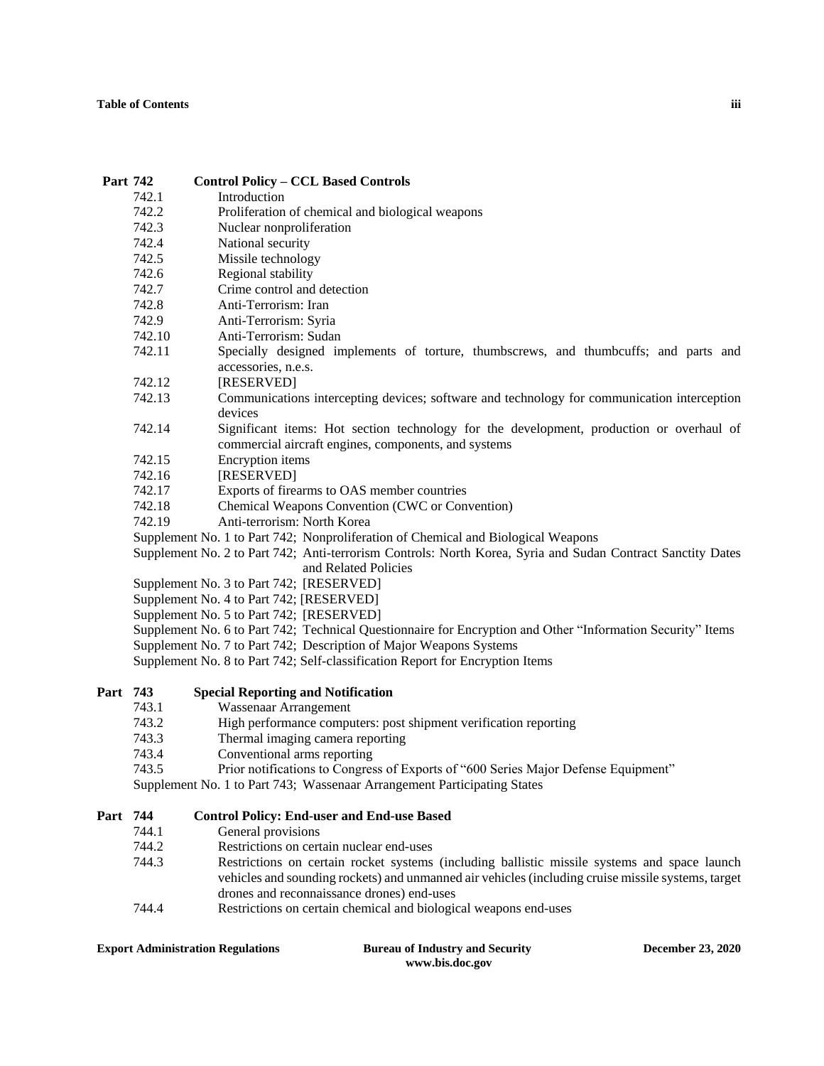## **Table of Contents iii**

| Part 742 |        | <b>Control Policy - CCL Based Controls</b>                                                                  |  |  |
|----------|--------|-------------------------------------------------------------------------------------------------------------|--|--|
|          | 742.1  | Introduction                                                                                                |  |  |
|          | 742.2  | Proliferation of chemical and biological weapons                                                            |  |  |
|          | 742.3  | Nuclear nonproliferation                                                                                    |  |  |
|          | 742.4  | National security                                                                                           |  |  |
|          | 742.5  | Missile technology                                                                                          |  |  |
|          | 742.6  | Regional stability                                                                                          |  |  |
|          | 742.7  | Crime control and detection                                                                                 |  |  |
|          | 742.8  | Anti-Terrorism: Iran                                                                                        |  |  |
|          | 742.9  | Anti-Terrorism: Syria                                                                                       |  |  |
|          | 742.10 | Anti-Terrorism: Sudan                                                                                       |  |  |
|          | 742.11 | Specially designed implements of torture, thumbscrews, and thumbcuffs; and parts and                        |  |  |
|          |        | accessories, n.e.s.                                                                                         |  |  |
|          | 742.12 | [RESERVED]                                                                                                  |  |  |
|          | 742.13 | Communications intercepting devices; software and technology for communication interception                 |  |  |
|          |        | devices                                                                                                     |  |  |
|          | 742.14 | Significant items: Hot section technology for the development, production or overhaul of                    |  |  |
|          |        | commercial aircraft engines, components, and systems                                                        |  |  |
|          | 742.15 | Encryption items                                                                                            |  |  |
|          | 742.16 | [RESERVED]                                                                                                  |  |  |
|          | 742.17 | Exports of firearms to OAS member countries                                                                 |  |  |
|          | 742.18 | Chemical Weapons Convention (CWC or Convention)                                                             |  |  |
|          | 742.19 | Anti-terrorism: North Korea                                                                                 |  |  |
|          |        | Supplement No. 1 to Part 742; Nonproliferation of Chemical and Biological Weapons                           |  |  |
|          |        | Supplement No. 2 to Part 742; Anti-terrorism Controls: North Korea, Syria and Sudan Contract Sanctity Dates |  |  |
|          |        | and Related Policies                                                                                        |  |  |
|          |        | Supplement No. 3 to Part 742; [RESERVED]                                                                    |  |  |
|          |        | Supplement No. 4 to Part 742; [RESERVED]                                                                    |  |  |
|          |        | Supplement No. 5 to Part 742; [RESERVED]                                                                    |  |  |
|          |        | Supplement No. 6 to Part 742; Technical Questionnaire for Encryption and Other "Information Security" Items |  |  |
|          |        | Supplement No. 7 to Part 742; Description of Major Weapons Systems                                          |  |  |
|          |        | Supplement No. 8 to Part 742; Self-classification Report for Encryption Items                               |  |  |
| Part 743 |        | <b>Special Reporting and Notification</b>                                                                   |  |  |
|          | 743.1  | Wassenaar Arrangement                                                                                       |  |  |
|          | 743.2  | High performance computers: post shipment verification reporting                                            |  |  |
|          | 743.3  | Thermal imaging camera reporting                                                                            |  |  |
|          | 743.4  | Conventional arms reporting                                                                                 |  |  |
|          | 743.5  | Prior notifications to Congress of Exports of "600 Series Major Defense Equipment"                          |  |  |
|          |        | Supplement No. 1 to Part 743; Wassenaar Arrangement Participating States                                    |  |  |
| Part 744 |        | <b>Control Policy: End-user and End-use Based</b>                                                           |  |  |

- 744.1 General provisions
- 744.2 Restrictions on certain nuclear end-uses
- 744.3 Restrictions on certain rocket systems (including ballistic missile systems and space launch vehicles and sounding rockets) and unmanned air vehicles (including cruise missile systems, target drones and reconnaissance drones) end-uses
- 744.4 Restrictions on certain chemical and biological weapons end-uses

## **Export Administration Regulations Bureau of Industry and Security December 23, 2020**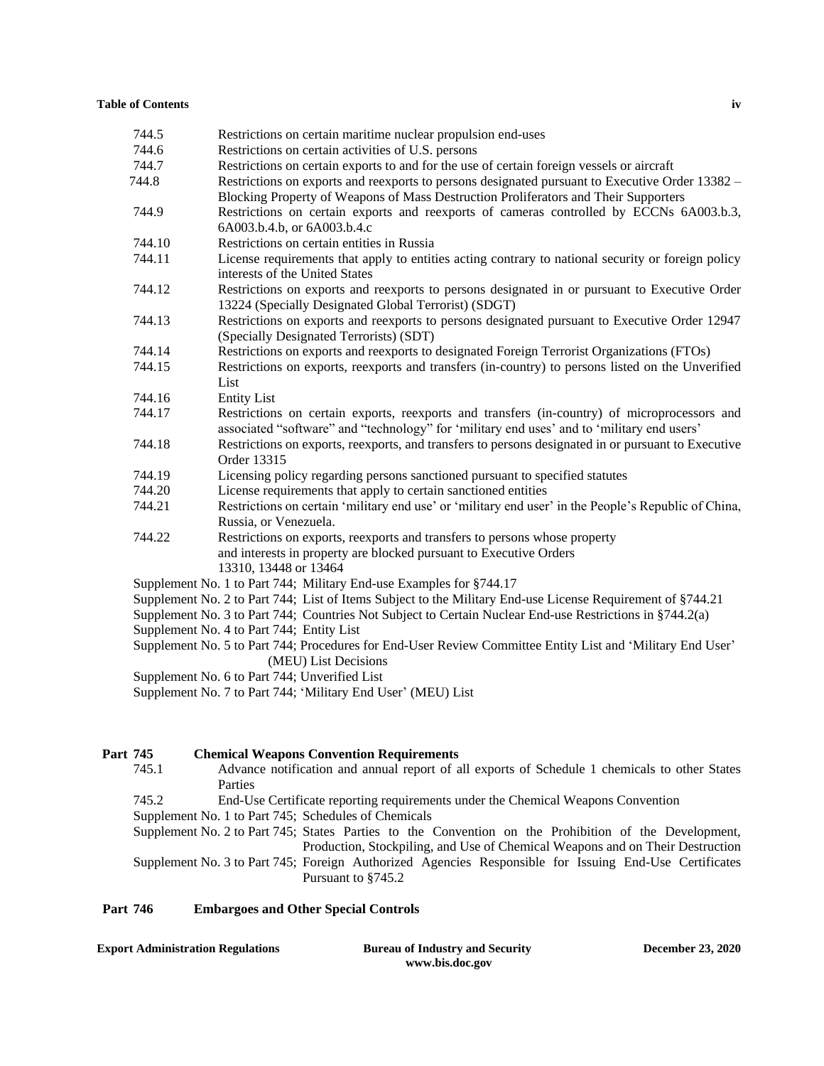#### **Table of Contents iv**

| 744.6<br>Restrictions on certain activities of U.S. persons<br>744.7<br>Restrictions on certain exports to and for the use of certain foreign vessels or aircraft<br>744.8<br>Restrictions on exports and reexports to persons designated pursuant to Executive Order 13382 –<br>Blocking Property of Weapons of Mass Destruction Proliferators and Their Supporters<br>Restrictions on certain exports and reexports of cameras controlled by ECCNs 6A003.b.3,<br>744.9<br>6A003.b.4.b, or 6A003.b.4.c<br>Restrictions on certain entities in Russia<br>744.10<br>744.11<br>License requirements that apply to entities acting contrary to national security or foreign policy<br>interests of the United States |
|-------------------------------------------------------------------------------------------------------------------------------------------------------------------------------------------------------------------------------------------------------------------------------------------------------------------------------------------------------------------------------------------------------------------------------------------------------------------------------------------------------------------------------------------------------------------------------------------------------------------------------------------------------------------------------------------------------------------|
|                                                                                                                                                                                                                                                                                                                                                                                                                                                                                                                                                                                                                                                                                                                   |
|                                                                                                                                                                                                                                                                                                                                                                                                                                                                                                                                                                                                                                                                                                                   |
|                                                                                                                                                                                                                                                                                                                                                                                                                                                                                                                                                                                                                                                                                                                   |
|                                                                                                                                                                                                                                                                                                                                                                                                                                                                                                                                                                                                                                                                                                                   |
|                                                                                                                                                                                                                                                                                                                                                                                                                                                                                                                                                                                                                                                                                                                   |
|                                                                                                                                                                                                                                                                                                                                                                                                                                                                                                                                                                                                                                                                                                                   |
|                                                                                                                                                                                                                                                                                                                                                                                                                                                                                                                                                                                                                                                                                                                   |
|                                                                                                                                                                                                                                                                                                                                                                                                                                                                                                                                                                                                                                                                                                                   |
|                                                                                                                                                                                                                                                                                                                                                                                                                                                                                                                                                                                                                                                                                                                   |
| 744.12<br>Restrictions on exports and reexports to persons designated in or pursuant to Executive Order                                                                                                                                                                                                                                                                                                                                                                                                                                                                                                                                                                                                           |
| 13224 (Specially Designated Global Terrorist) (SDGT)                                                                                                                                                                                                                                                                                                                                                                                                                                                                                                                                                                                                                                                              |
| Restrictions on exports and reexports to persons designated pursuant to Executive Order 12947<br>744.13                                                                                                                                                                                                                                                                                                                                                                                                                                                                                                                                                                                                           |
| (Specially Designated Terrorists) (SDT)                                                                                                                                                                                                                                                                                                                                                                                                                                                                                                                                                                                                                                                                           |
| Restrictions on exports and reexports to designated Foreign Terrorist Organizations (FTOs)<br>744.14                                                                                                                                                                                                                                                                                                                                                                                                                                                                                                                                                                                                              |
| Restrictions on exports, reexports and transfers (in-country) to persons listed on the Unverified<br>744.15                                                                                                                                                                                                                                                                                                                                                                                                                                                                                                                                                                                                       |
| List                                                                                                                                                                                                                                                                                                                                                                                                                                                                                                                                                                                                                                                                                                              |
| 744.16<br><b>Entity List</b>                                                                                                                                                                                                                                                                                                                                                                                                                                                                                                                                                                                                                                                                                      |
| 744.17<br>Restrictions on certain exports, reexports and transfers (in-country) of microprocessors and                                                                                                                                                                                                                                                                                                                                                                                                                                                                                                                                                                                                            |
| associated "software" and "technology" for 'military end uses' and to 'military end users'                                                                                                                                                                                                                                                                                                                                                                                                                                                                                                                                                                                                                        |
| Restrictions on exports, reexports, and transfers to persons designated in or pursuant to Executive<br>744.18                                                                                                                                                                                                                                                                                                                                                                                                                                                                                                                                                                                                     |
| Order 13315                                                                                                                                                                                                                                                                                                                                                                                                                                                                                                                                                                                                                                                                                                       |
| Licensing policy regarding persons sanctioned pursuant to specified statutes<br>744.19                                                                                                                                                                                                                                                                                                                                                                                                                                                                                                                                                                                                                            |
| 744.20<br>License requirements that apply to certain sanctioned entities                                                                                                                                                                                                                                                                                                                                                                                                                                                                                                                                                                                                                                          |
| 744.21<br>Restrictions on certain 'military end use' or 'military end user' in the People's Republic of China,                                                                                                                                                                                                                                                                                                                                                                                                                                                                                                                                                                                                    |
| Russia, or Venezuela.                                                                                                                                                                                                                                                                                                                                                                                                                                                                                                                                                                                                                                                                                             |
| Restrictions on exports, reexports and transfers to persons whose property<br>744.22                                                                                                                                                                                                                                                                                                                                                                                                                                                                                                                                                                                                                              |
| and interests in property are blocked pursuant to Executive Orders                                                                                                                                                                                                                                                                                                                                                                                                                                                                                                                                                                                                                                                |
| 13310, 13448 or 13464                                                                                                                                                                                                                                                                                                                                                                                                                                                                                                                                                                                                                                                                                             |
| Supplement No. 1 to Part 744; Military End-use Examples for §744.17                                                                                                                                                                                                                                                                                                                                                                                                                                                                                                                                                                                                                                               |
| Supplement No. 2 to Part 744; List of Items Subject to the Military End-use License Requirement of §744.21                                                                                                                                                                                                                                                                                                                                                                                                                                                                                                                                                                                                        |
| Supplement No. 3 to Part 744; Countries Not Subject to Certain Nuclear End-use Restrictions in §744.2(a)                                                                                                                                                                                                                                                                                                                                                                                                                                                                                                                                                                                                          |
| Supplement No. 4 to Part 744; Entity List                                                                                                                                                                                                                                                                                                                                                                                                                                                                                                                                                                                                                                                                         |
| Supplement No. 5 to Part 744; Procedures for End-User Review Committee Entity List and 'Military End User'                                                                                                                                                                                                                                                                                                                                                                                                                                                                                                                                                                                                        |
| (MEU) List Decisions                                                                                                                                                                                                                                                                                                                                                                                                                                                                                                                                                                                                                                                                                              |
| Supplement No. 6 to Part 744; Unverified List                                                                                                                                                                                                                                                                                                                                                                                                                                                                                                                                                                                                                                                                     |
| Supplement No. 7 to Part 744; 'Military End User' (MEU) List                                                                                                                                                                                                                                                                                                                                                                                                                                                                                                                                                                                                                                                      |

# **Part 745 Chemical Weapons Convention Requirements** 745.1 **Advance notification and annual report of a** Advance notification and annual report of all exports of Schedule 1 chemicals to other States Parties 745.2 End-Use Certificate reporting requirements under the Chemical Weapons Convention Supplement No. 1 to Part 745; Schedules of Chemicals Supplement No. 2 to Part 745; States Parties to the Convention on the Prohibition of the Development, Production, Stockpiling, and Use of Chemical Weapons and on Their Destruction Supplement No. 3 to Part 745; Foreign Authorized Agencies Responsible for Issuing End-Use Certificates Pursuant to §745.2

#### **Part 746 Embargoes and Other Special Controls**

**Export Administration Regulations Bureau of Industry and Security December 23, 2020**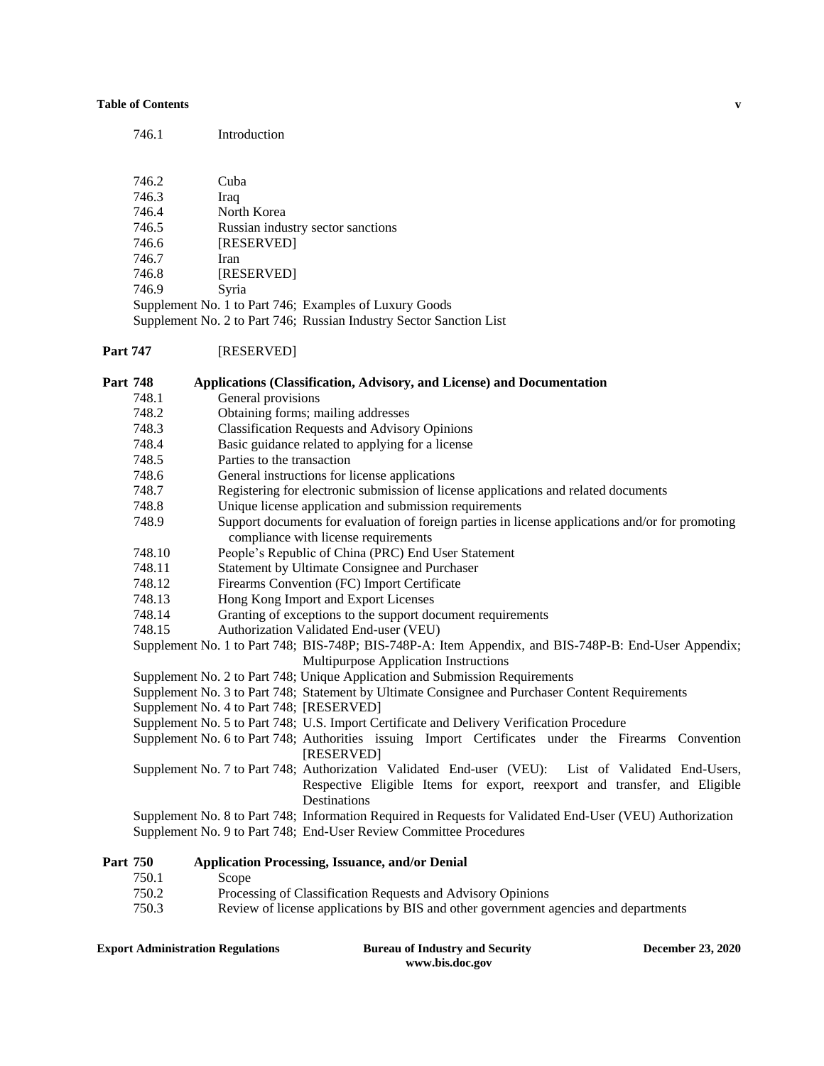#### **Table of Contents v**

| 746.1 | Introduction                                           |
|-------|--------------------------------------------------------|
|       |                                                        |
| 746.2 | Cuba                                                   |
| 746.3 | Iraq                                                   |
| 746.4 | North Korea                                            |
| 746.5 | Russian industry sector sanctions                      |
| 746.6 | [RESERVED]                                             |
| 746.7 | Iran                                                   |
| 746.8 | [RESERVED]                                             |
| 746.9 | Syria                                                  |
|       | Supplement No. 1 to Part 746; Examples of Luxury Goods |
|       |                                                        |

Supplement No. 2 to Part 746; Russian Industry Sector Sanction List

#### Part 747 **[RESERVED]**

748.1 General provisions

748.2 Obtaining forms; mailing addresses 748.3 Classification Requests and Advisory Opinions 748.4 Basic guidance related to applying for a license 748.5 Parties to the transaction 748.6 General instructions for license applications

**Part 748 Applications (Classification, Advisory, and License) and Documentation**

- 748.7 Registering for electronic submission of license applications and related documents
- 748.8 Unique license application and submission requirements
- 748.9 Support documents for evaluation of foreign parties in license applications and/or for promoting compliance with license requirements
- 748.10 People's Republic of China (PRC) End User Statement
- 748.11 Statement by Ultimate Consignee and Purchaser
- 748.12 Firearms Convention (FC) Import Certificate
- 748.13 Hong Kong Import and Export Licenses
- 748.14 Granting of exceptions to the support document requirements
- 748.15 Authorization Validated End-user (VEU)

Supplement No. 1 to Part 748; BIS-748P; BIS-748P-A: Item Appendix, and BIS-748P-B: End-User Appendix; Multipurpose Application Instructions

- Supplement No. 2 to Part 748; Unique Application and Submission Requirements
- Supplement No. 3 to Part 748; Statement by Ultimate Consignee and Purchaser Content Requirements
- Supplement No. 4 to Part 748; [RESERVED]

Supplement No. 5 to Part 748; U.S. Import Certificate and Delivery Verification Procedure

- Supplement No. 6 to Part 748; Authorities issuing Import Certificates under the Firearms Convention [RESERVED]
- Supplement No. 7 to Part 748; Authorization Validated End-user (VEU): List of Validated End-Users, Respective Eligible Items for export, reexport and transfer, and Eligible Destinations

Supplement No. 8 to Part 748; Information Required in Requests for Validated End-User (VEU) Authorization Supplement No. 9 to Part 748; End-User Review Committee Procedures

#### **Part 750 Application Processing, Issuance, and/or Denial**

- 750.1 Scope
- 750.2 Processing of Classification Requests and Advisory Opinions
- 750.3 Review of license applications by BIS and other government agencies and departments

**Export Administration Regulations Bureau of Industry and Security December 23, 2020**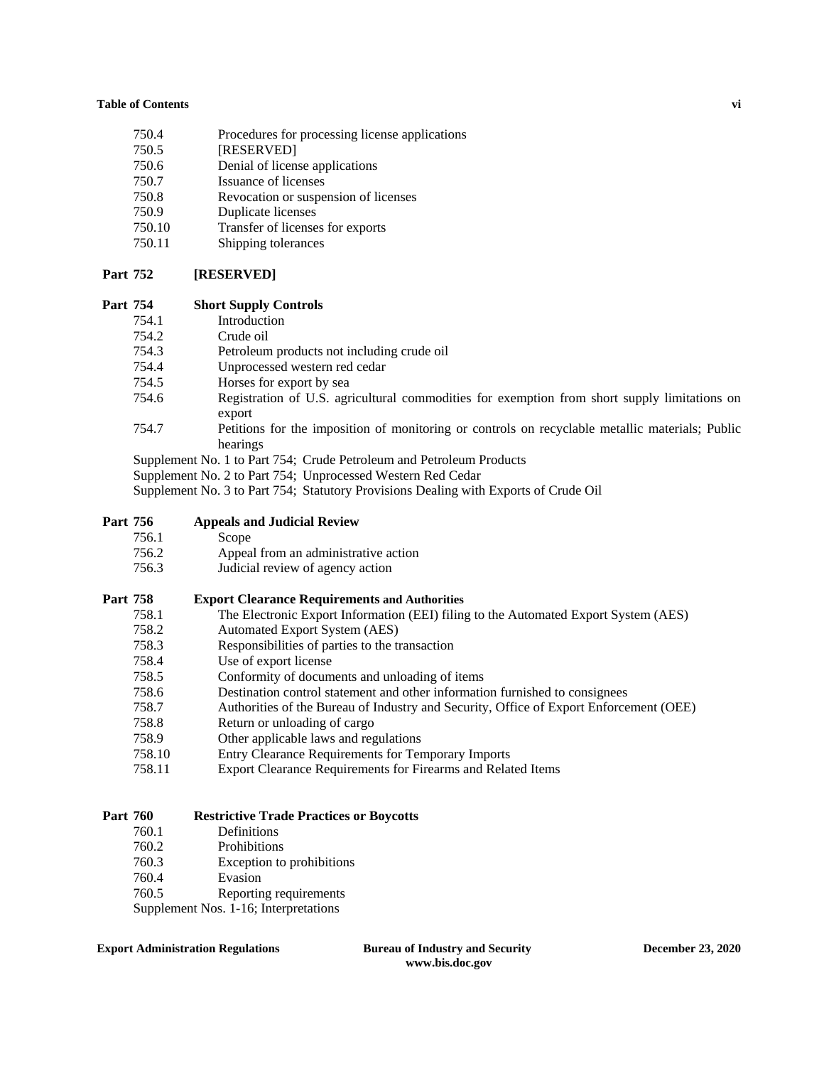#### **Table of Contents vi**

- 750.4 Procedures for processing license applications
- 750.5 [RESERVED]
- 750.6 Denial of license applications
- 750.7 Issuance of licenses
- 750.8 Revocation or suspension of licenses
- 750.9 Duplicate licenses
- 750.10 Transfer of licenses for exports
- 750.11 Shipping tolerances

## **Part 752 [RESERVED]**

## **Part 754 Short Supply Controls**

- 754.1 Introduction
- 754.2 Crude oil
- 754.3 Petroleum products not including crude oil
- 754.4 Unprocessed western red cedar
- 754.5 Horses for export by sea
- 754.6 Registration of U.S. agricultural commodities for exemption from short supply limitations on export
- 754.7 Petitions for the imposition of monitoring or controls on recyclable metallic materials; Public hearings
- Supplement No. 1 to Part 754; Crude Petroleum and Petroleum Products
- Supplement No. 2 to Part 754; Unprocessed Western Red Cedar

Supplement No. 3 to Part 754; Statutory Provisions Dealing with Exports of Crude Oil

## **Part 756 Appeals and Judicial Review**

- 756.1 Scope
- 756.2 Appeal from an administrative action
- 756.3 Judicial review of agency action

#### **Part 758 Export Clearance Requirements and Authorities**

- 758.1 The Electronic Export Information (EEI) filing to the Automated Export System (AES)
- 758.2 Automated Export System (AES)
- 758.3 Responsibilities of parties to the transaction
- 758.4 Use of export license
- 758.5 Conformity of documents and unloading of items
- 758.6 Destination control statement and other information furnished to consignees
- 758.7 Authorities of the Bureau of Industry and Security, Office of Export Enforcement (OEE)
- 758.8 Return or unloading of cargo
- 758.9 Other applicable laws and regulations
- 758.10 Entry Clearance Requirements for Temporary Imports
- 758.11 Export Clearance Requirements for Firearms and Related Items

## **Part 760 Restrictive Trade Practices or Boycotts**

- 760.1 Definitions
- 760.2 Prohibitions
- 760.3 Exception to prohibitions
- 760.4 Evasion
- 760.5 Reporting requirements

Supplement Nos. 1-16; Interpretations

#### **Export Administration Regulations Bureau of Industry and Security December 23, 2020**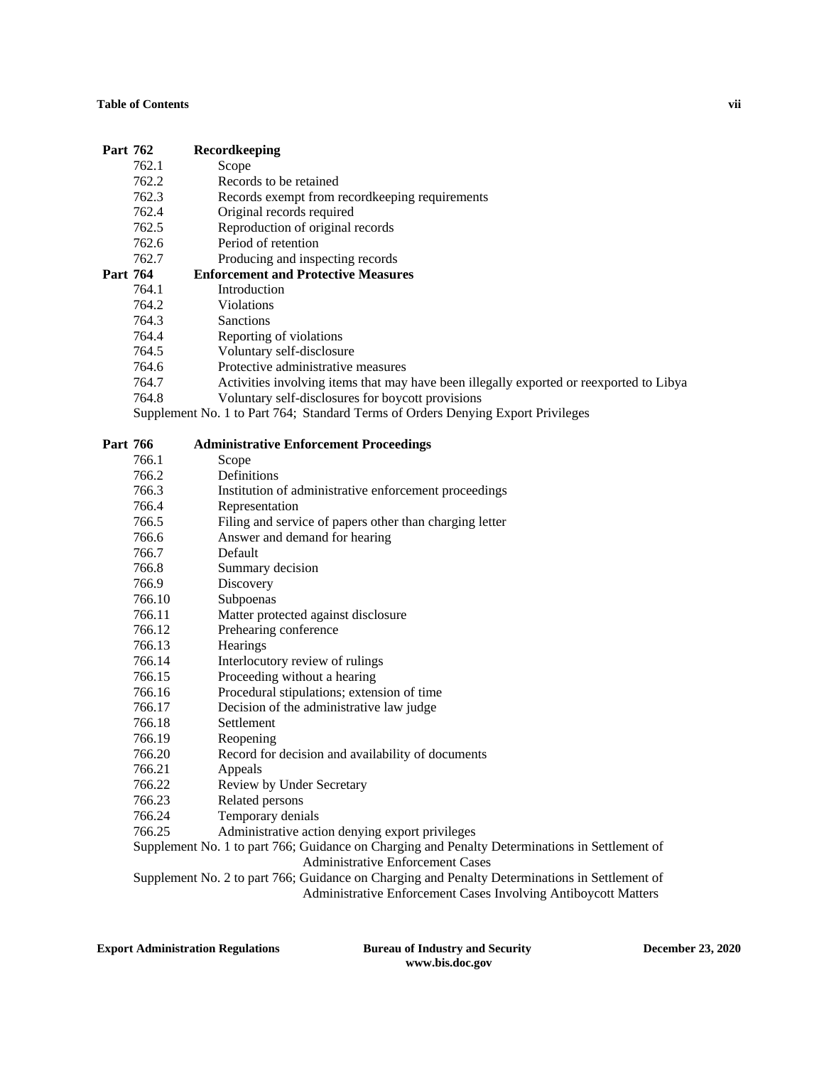## **Table of Contents vii**

# **Part 762 Recordkeeping**

- 762.1 Scope
- 762.2 Records to be retained
- 762.3 Records exempt from recordkeeping requirements
- 762.4 Original records required
- 762.5 Reproduction of original records
- 762.6 Period of retention
- 762.7 Producing and inspecting records<br> **Part 764** Enforcement and Protective Measur

# **764 •• Enforcement and Protective Measures**<br>764.1 •• Introduction

- **Introduction**
- 764.2 Violations
- 764.3 Sanctions
- 764.4 Reporting of violations
- 764.5 Voluntary self-disclosure
- 764.6 Protective administrative measures
- 764.7 Activities involving items that may have been illegally exported or reexported to Libya
- 764.8 Voluntary self-disclosures for boycott provisions

Supplement No. 1 to Part 764; Standard Terms of Orders Denying Export Privileges

| Part 766 | <b>Administrative Enforcement Proceedings</b>                                                  |
|----------|------------------------------------------------------------------------------------------------|
| 766.1    | Scope                                                                                          |
| 766.2    | <b>Definitions</b>                                                                             |
| 766.3    | Institution of administrative enforcement proceedings                                          |
| 766.4    | Representation                                                                                 |
| 766.5    | Filing and service of papers other than charging letter                                        |
| 766.6    | Answer and demand for hearing                                                                  |
| 766.7    | Default                                                                                        |
| 766.8    | Summary decision                                                                               |
| 766.9    | Discovery                                                                                      |
| 766.10   | Subpoenas                                                                                      |
| 766.11   | Matter protected against disclosure                                                            |
| 766.12   | Prehearing conference                                                                          |
| 766.13   | Hearings                                                                                       |
| 766.14   | Interlocutory review of rulings                                                                |
| 766.15   | Proceeding without a hearing                                                                   |
| 766.16   | Procedural stipulations; extension of time                                                     |
| 766.17   | Decision of the administrative law judge                                                       |
| 766.18   | Settlement                                                                                     |
| 766.19   | Reopening                                                                                      |
| 766.20   | Record for decision and availability of documents                                              |
| 766.21   | Appeals                                                                                        |
| 766.22   | Review by Under Secretary                                                                      |
| 766.23   | Related persons                                                                                |
| 766.24   | Temporary denials                                                                              |
| 766.25   | Administrative action denying export privileges                                                |
|          | Supplement No. 1 to part 766; Guidance on Charging and Penalty Determinations in Settlement of |
|          | <b>Administrative Enforcement Cases</b>                                                        |
|          | Supplement No. 2 to part 766; Guidance on Charging and Penalty Determinations in Settlement of |

Administrative Enforcement Cases Involving Antiboycott Matters

**Export Administration Regulations Bureau of Industry and Security December 23, 2020**